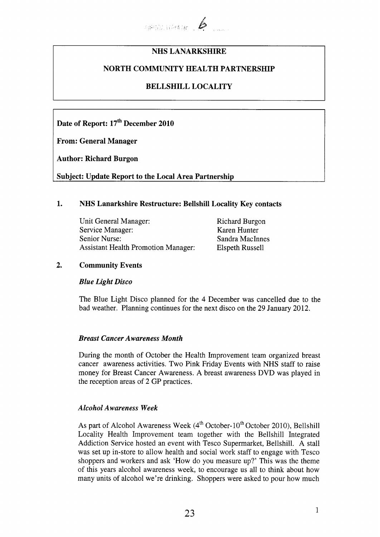

# **NHS LANARKSHIRE**

## **NORTH COMMUNITY HEALTH PARTNERSHIP**

# **BELLSHILL LOCALITY**

Date of Report: 17<sup>th</sup> December 2010

**From: General Manager** 

**Author: Richard Burgon** 

**Subject: Update Report to the Local Area Partnership** 

## **1. NHS Lanarkshire Restructure: Bellshill Locality Key contacts**

Unit General Manager: Richard Burgon<br>
Service Manager: Karen Hunter Service Manager: Senior Nurse: Sandra MacInnes Assistant Health Promotion Manager: Elspeth Russell

## **2. Community Events**

### *Blue Light Disco*

The Blue Light Disco planned for the 4 December was cancelled due to the bad weather. Planning continues for the next disco on the 29 January 2012.

### *Breast Cancer Awareness Month*

During the month of October the Health Improvement team organized breast cancer awareness activities. Two Pink Friday Events with NHS staff to raise money for Breast Cancer Awareness. A breast awareness DVD was played in the reception areas of 2 GP practices.

### *Alcohol Awareness Week*

As part of Alcohol Awareness Week  $(4^{th}$  October-10<sup>th</sup> October 2010), Bellshill Locality Health Improvement team together with the Bellshill Integrated Addiction Service hosted an event with Tesco Supermarket, Bellshill. A stall was set up in-store to allow health and social work staff to engage with Tesco shoppers and workers and ask 'How do you measure up?' This was the theme of this years alcohol awareness week, to encourage us all to think about how many units of alcohol we're drinking. Shoppers were asked to pour how much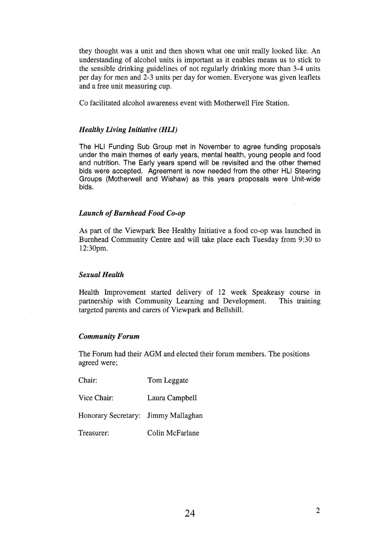they thought was a unit and then shown what one unit really looked like. An understanding of alcohol units is important as it enables means us to stick to the sensible drinking guidelines of not regularly drinking more than 3-4 units per day for men and 2-3 units per day for women. Everyone was given leaflets and a free unit measuring cup.

Co facilitated alcohol awareness event with Motherwell Fire Station.

## *Healthy Living Initiative (HLI)*

The HLI Funding Sub Group met in November to agree funding proposals under the main themes of early years, mental health, young people and food and nutrition. The Early years spend will be revisited and the other themed bids were accepted. Agreement is now needed from the other HLI Steering Groups (Motherwell and Wishaw) as this years proposals were Unit-wide bids.

## *Launch of Burnhead Food Co-op*

As part of the Viewpark Bee Healthy Initiative a food co-op was launched in Burnhead Community Centre and will take place each Tuesday from 9:30 to 12:30pm.

### *Sexual Health*

Health Improvement started delivery of 12 week Speakeasy course in partnership with Community Learning and Development. This training targeted parents and carers of Viewpark and Bellshill.

### *Community Forum*

The Forum had their **AGM** and elected their forum members. The positions agreed were;

| Chair:                              | Tom Leggate     |
|-------------------------------------|-----------------|
| Vice Chair:                         | Laura Campbell  |
| Honorary Secretary: Jimmy Mallaghan |                 |
| Treasurer:                          | Colin McFarlane |